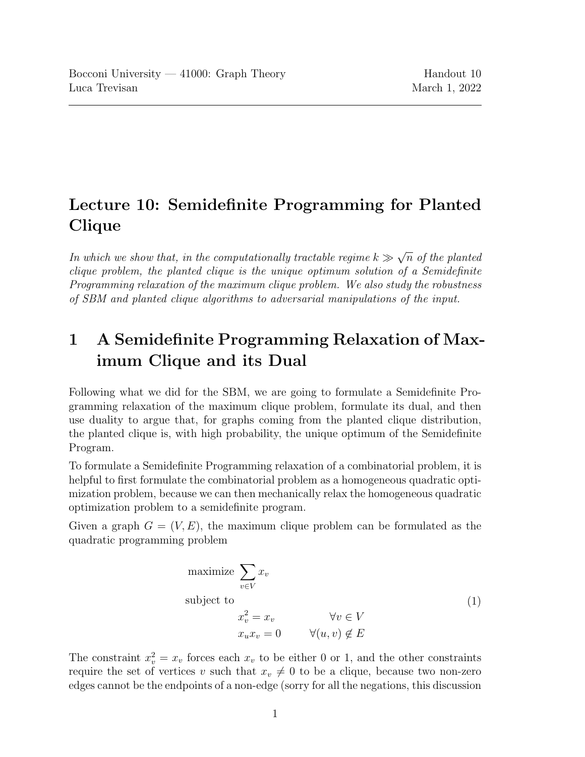## Lecture 10: Semidefinite Programming for Planted Clique

In which we show that, in the computationally tractable regime  $k \gg$ √  $\overline{n}$  of the planted clique problem, the planted clique is the unique optimum solution of a Semidefinite Programming relaxation of the maximum clique problem. We also study the robustness of SBM and planted clique algorithms to adversarial manipulations of the input.

## 1 A Semidefinite Programming Relaxation of Maximum Clique and its Dual

Following what we did for the SBM, we are going to formulate a Semidefinite Programming relaxation of the maximum clique problem, formulate its dual, and then use duality to argue that, for graphs coming from the planted clique distribution, the planted clique is, with high probability, the unique optimum of the Semidefinite Program.

To formulate a Semidefinite Programming relaxation of a combinatorial problem, it is helpful to first formulate the combinatorial problem as a homogeneous quadratic optimization problem, because we can then mechanically relax the homogeneous quadratic optimization problem to a semidefinite program.

<span id="page-0-0"></span>Given a graph  $G = (V, E)$ , the maximum clique problem can be formulated as the quadratic programming problem

maximize 
$$
\sum_{v \in V} x_v
$$
  
\nsubject to  
\n
$$
x_v^2 = x_v \qquad \forall v \in V
$$
\n
$$
x_u x_v = 0 \qquad \forall (u, v) \notin E
$$
\n(1)

The constraint  $x_v^2 = x_v$  forces each  $x_v$  to be either 0 or 1, and the other constraints require the set of vertices v such that  $x_v \neq 0$  to be a clique, because two non-zero edges cannot be the endpoints of a non-edge (sorry for all the negations, this discussion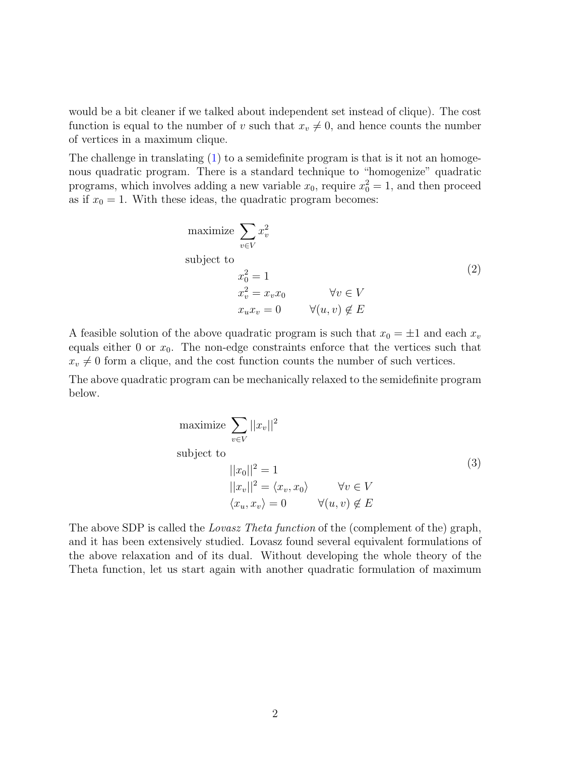would be a bit cleaner if we talked about independent set instead of clique). The cost function is equal to the number of v such that  $x_v \neq 0$ , and hence counts the number of vertices in a maximum clique.

<span id="page-1-0"></span>The challenge in translating [\(1\)](#page-0-0) to a semidefinite program is that is it not an homogenous quadratic program. There is a standard technique to "homogenize" quadratic programs, which involves adding a new variable  $x_0$ , require  $x_0^2 = 1$ , and then proceed as if  $x_0 = 1$ . With these ideas, the quadratic program becomes:

maximize 
$$
\sum_{v \in V} x_v^2
$$
  
\nsubject to  
\n
$$
x_0^2 = 1
$$
\n
$$
x_v^2 = x_v x_0 \qquad \forall v \in V
$$
\n
$$
x_u x_v = 0 \qquad \forall (u, v) \notin E
$$
\n(2)

A feasible solution of the above quadratic program is such that  $x_0 = \pm 1$  and each  $x_v$ equals either 0 or  $x_0$ . The non-edge constraints enforce that the vertices such that  $x_v \neq 0$  form a clique, and the cost function counts the number of such vertices.

<span id="page-1-1"></span>The above quadratic program can be mechanically relaxed to the semidefinite program below.

maximize 
$$
\sum_{v \in V} ||x_v||^2
$$
  
subject to  

$$
||x_0||^2 = 1
$$

$$
||x_v||^2 = \langle x_v, x_0 \rangle \qquad \forall v \in V
$$

$$
\langle x_u, x_v \rangle = 0 \qquad \forall (u, v) \notin E
$$

$$
(3)
$$

The above SDP is called the *Lovasz Theta function* of the (complement of the) graph, and it has been extensively studied. Lovasz found several equivalent formulations of the above relaxation and of its dual. Without developing the whole theory of the Theta function, let us start again with another quadratic formulation of maximum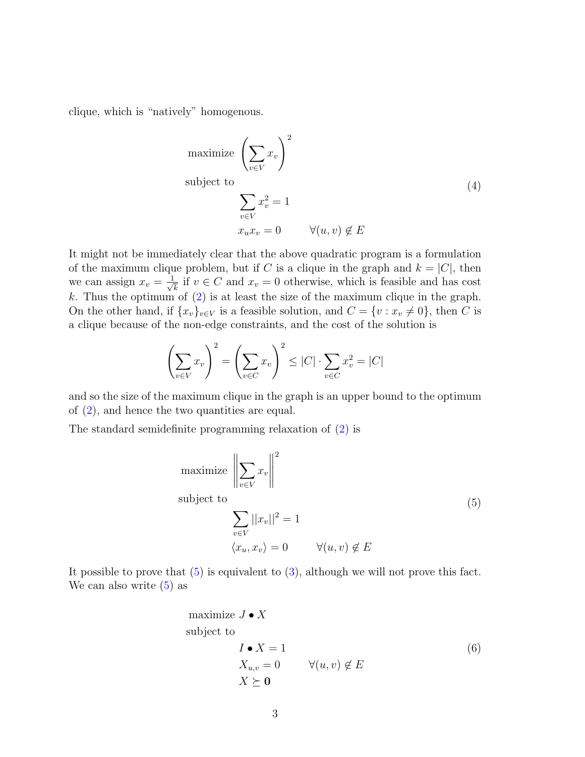clique, which is "natively" homogenous.

maximize 
$$
\left(\sum_{v \in V} x_v\right)^2
$$
  
\nsubject to  
\n
$$
\sum_{v \in V} x_v^2 = 1
$$
\n
$$
x_u x_v = 0 \qquad \forall (u, v) \notin E
$$
\n(4)

It might not be immediately clear that the above quadratic program is a formulation of the maximum clique problem, but if C is a clique in the graph and  $k = |C|$ , then we can assign  $x_v = \frac{1}{\sqrt{2}}$  $\overline{k}$  if  $v \in C$  and  $x_v = 0$  otherwise, which is feasible and has cost k. Thus the optimum of  $(2)$  is at least the size of the maximum clique in the graph. On the other hand, if  $\{x_v\}_{v\in V}$  is a feasible solution, and  $C = \{v : x_v \neq 0\}$ , then C is a clique because of the non-edge constraints, and the cost of the solution is

$$
\left(\sum_{v \in V} x_v\right)^2 = \left(\sum_{v \in C} x_v\right)^2 \le |C| \cdot \sum_{v \in C} x_v^2 = |C|
$$

and so the size of the maximum clique in the graph is an upper bound to the optimum of [\(2\)](#page-1-0), and hence the two quantities are equal.

<span id="page-2-0"></span>The standard semidefinite programming relaxation of [\(2\)](#page-1-0) is

maximize 
$$
\left\| \sum_{v \in V} x_v \right\|^2
$$
  
\nsubject to  
\n
$$
\sum_{v \in V} ||x_v||^2 = 1
$$
\n
$$
\langle x_u, x_v \rangle = 0 \qquad \forall (u, v) \notin E
$$
\n(5)

<span id="page-2-1"></span>It possible to prove that  $(5)$  is equivalent to  $(3)$ , although we will not prove this fact. We can also write  $(5)$  as

maximize 
$$
J \bullet X
$$
  
\nsubject to  
\n $I \bullet X = 1$   
\n $X_{u,v} = 0$   $\forall (u, v) \notin E$   
\n $X \succeq \mathbf{0}$  (6)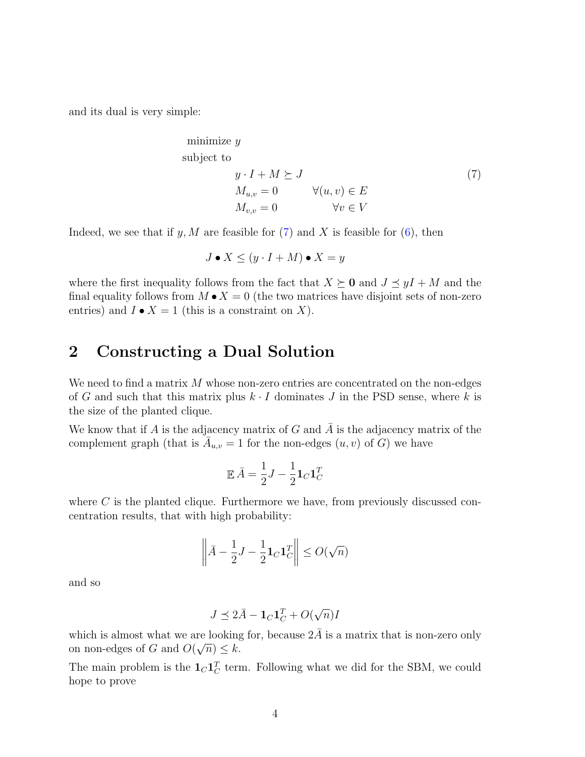<span id="page-3-0"></span>and its dual is very simple:

minimize 
$$
y
$$
  
\nsubject to  
\n
$$
y \cdot I + M \succeq J
$$
\n
$$
M_{u,v} = 0 \qquad \forall (u, v) \in E
$$
\n
$$
M_{v,v} = 0 \qquad \forall v \in V
$$
\n(7)

Indeed, we see that if y, M are feasible for  $(7)$  and X is feasible for  $(6)$ , then

$$
J \bullet X \le (y \cdot I + M) \bullet X = y
$$

where the first inequality follows from the fact that  $X \succeq 0$  and  $J \preceq yI + M$  and the final equality follows from  $M \bullet X = 0$  (the two matrices have disjoint sets of non-zero entries) and  $I \bullet X = 1$  (this is a constraint on X).

## 2 Constructing a Dual Solution

We need to find a matrix  $M$  whose non-zero entries are concentrated on the non-edges of G and such that this matrix plus  $k \cdot I$  dominates J in the PSD sense, where k is the size of the planted clique.

We know that if A is the adjacency matrix of G and A is the adjacency matrix of the complement graph (that is  $\overline{A}_{u,v} = 1$  for the non-edges  $(u, v)$  of  $\overline{G}$ ) we have

$$
\mathbb{E}\,\bar{A} = \frac{1}{2}J - \frac{1}{2}\mathbf{1}_C\mathbf{1}_C^T
$$

where  $C$  is the planted clique. Furthermore we have, from previously discussed concentration results, that with high probability:

$$
\left\| \bar{A} - \frac{1}{2}J - \frac{1}{2}\mathbf{1}_C \mathbf{1}_C^T \right\| \le O(\sqrt{n})
$$

and so

$$
J \preceq 2\bar{A} - \mathbf{1}_C \mathbf{1}_C^T + O(\sqrt{n})I
$$

which is almost what we are looking for, because  $2\overline{A}$  is a matrix that is non-zero only on non-edges of G and  $O(\sqrt{n}) \leq k$ .

The main problem is the  $1_C 1_C^T$  term. Following what we did for the SBM, we could hope to prove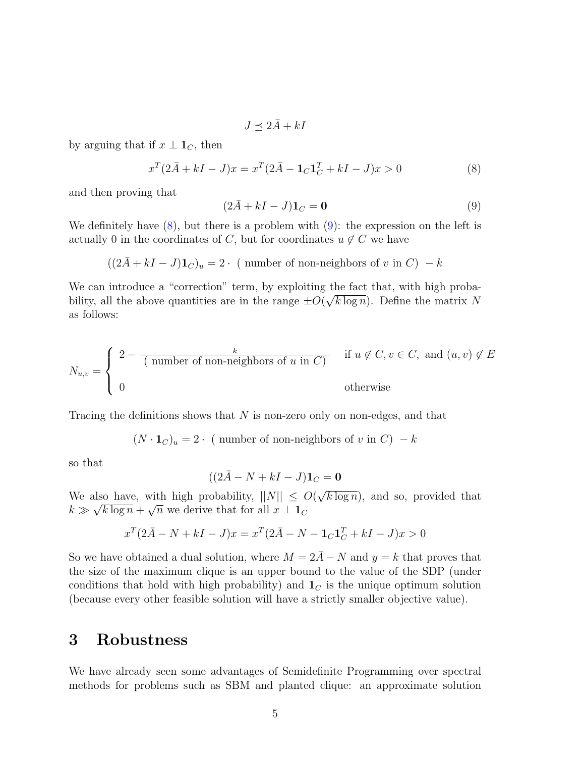<span id="page-4-0"></span>
$$
J \preceq 2\bar{A} + kI
$$

by arguing that if  $x \perp \mathbf{1}_C$ , then

<span id="page-4-1"></span>
$$
x^{T}(2\bar{A} + kI - J)x = x^{T}(2\bar{A} - \mathbf{1}_{C}\mathbf{1}_{C}^{T} + kI - J)x > 0
$$
\n(8)

and then proving that

$$
(2\bar{A} + kI - J)\mathbf{1}_C = \mathbf{0}
$$
\n<sup>(9)</sup>

We definitely have  $(8)$ , but there is a problem with  $(9)$ : the expression on the left is actually 0 in the coordinates of C, but for coordinates  $u \notin C$  we have

$$
((2\overline{A} + kI - J)\mathbf{1}_C)_u = 2
$$
. ( number of non-neighbors of v in C)  $-k$ 

We can introduce a "correction" term, by exploiting the fact that, with high probability, all the above quantities are in the range  $\pm O(\sqrt{k \log n})$ . Define the matrix N as follows:

$$
N_{u,v} = \begin{cases} 2 - \overline{\text{(number of non-neighbors of } u \text{ in } C)} & \text{if } u \notin C, v \in C, \text{ and } (u, v) \notin E \\ 0 & \text{otherwise} \end{cases}
$$

Tracing the definitions shows that  $N$  is non-zero only on non-edges, and that

$$
(N \cdot \mathbf{1}_C)_u = 2 \cdot (\text{ number of non-neighbors of } v \text{ in } C) - k
$$

so that

$$
((2\overline{A} - N + kI - J)\mathbf{1}_C = \mathbf{0}
$$

We also have, with high probability,  $||N|| \leq O(\frac{1}{\sqrt{N}})$ √ also have, with high probability,  $||N|| \leq O(\sqrt{k \log n})$ , and so, provided that  $k \gg \sqrt{k \log n} + \sqrt{n}$  we derive that for all  $x \perp \mathbf{1}_C$ 

$$
x^{T}(2\bar{A} - N + kI - J)x = x^{T}(2\bar{A} - N - \mathbf{1}_{C}\mathbf{1}_{C}^{T} + kI - J)x > 0
$$

So we have obtained a dual solution, where  $M = 2\overline{A} - N$  and  $y = k$  that proves that the size of the maximum clique is an upper bound to the value of the SDP (under conditions that hold with high probability) and  $\mathbf{1}_C$  is the unique optimum solution (because every other feasible solution will have a strictly smaller objective value).

## 3 Robustness

We have already seen some advantages of Semidefinite Programming over spectral methods for problems such as SBM and planted clique: an approximate solution